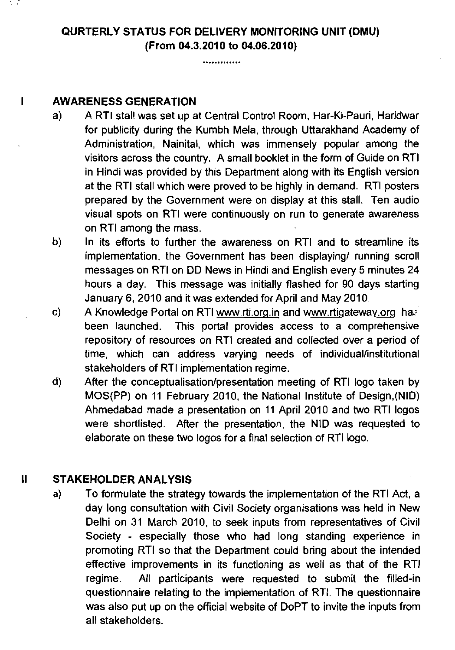## QURTERLY STATUS FOR DELIVERY MONITORING UNIT (DMU) (From **04.3.2010** to **04.06.2010)**

.............

## I AWARENESS GENERATION

- a) A RTI stal! was set up at Central Control Room, Har-Ki-Pauri, Haridwar for publicity during the Kumbh Mela, through Uttarakhand Academy of Administration, Nainital, which was immensely popular among the visitors across the country. A small booklet in the form of Guide on RTI in Hindi was provided by this Department along with its English version at the RTI stall which were proved to be highly in demand. RTI posters prepared by the Government were on display at this stall. Ten audio visual spots on RTI were continuously on run to generate awareness on RTI among the mass.
- b) In its efforts to further the awareness on RTI and to streamline its implementation, the Government has been displaying/ running scroll messages on RTI on DD News in Hindi and English every 5 minutes 24 hours a day. This message was initially flashed for 90 days starting January 6,2010 and it was extended for April and May 2010.
- c) A Knowledge Portal on RTI www.rti.orq.in and www.rtiqatewav.org ha' been launched. This portal provides access to a comprehensive repository of resources on RTI created and collected over a period of time, which can address varying needs of individual/institutional stakeholders of RTI implementation regime.
- d) After the conceptualisation/presentation meeting of RTI logo taken by MOS(PP) on 11 February 2010, the National Institute of Design,(NID) Ahmedabad made a presentation on 11 April 2010 and two RTI logos were shortlisted. After the presentation, the NID was requested to elaborate on these two logos for a final selection of RTI logo.

## II STAKEHOLDER ANALYSIS

**a)** To formulate the strategy towards the implementation of the RTI Act, a day long consultation with Civil Society organisations was held in New Delhi on 31 March 2010, to seek inputs from representatives of Civil Society - especially those who had long standing experience in promoting RTI so that the Department could bring about the intended effective improvements in its functioning as well as that of the RTI regime. All participants were requested to submit the filled-in questionnaire relating to the implementation of RTI. The questionnaire was also put up on the official website of DoPT to invite the inputs from all stakeholders.